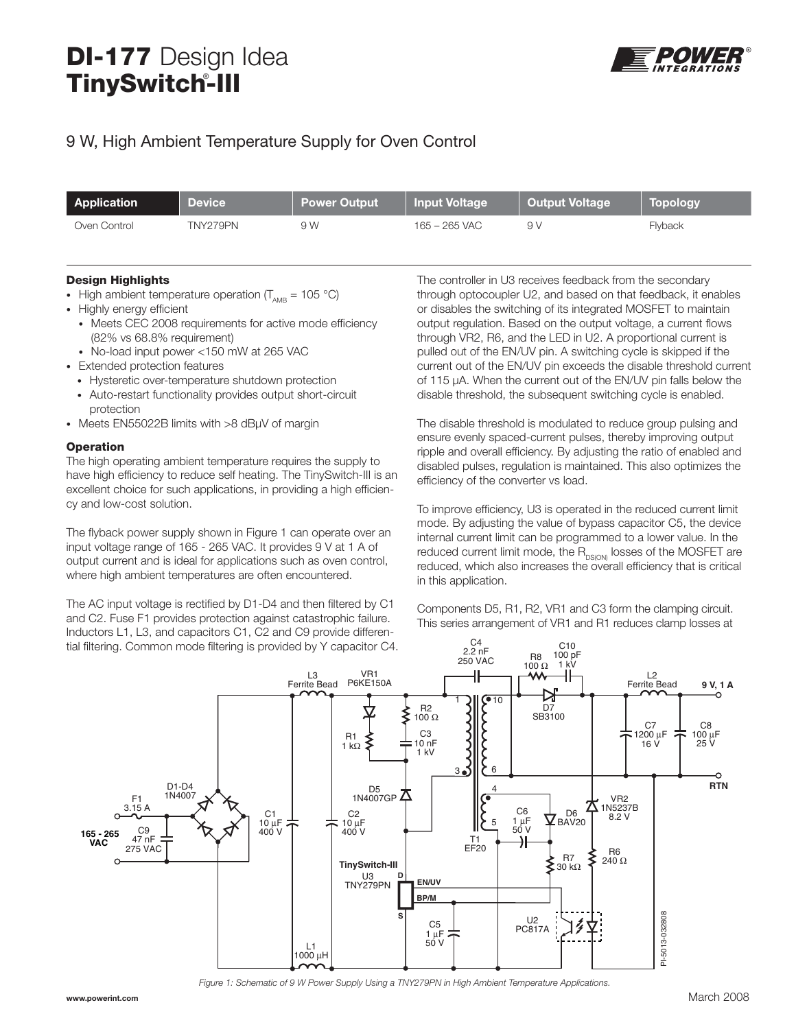## **DI-177** Design Idea **TinySwitch-III** ®



## 9 W, High Ambient Temperature Supply for Oven Control

| Application  | <b>Device</b> | Power Output | Input Voltage | <b>Output Voltage</b> | Topology |
|--------------|---------------|--------------|---------------|-----------------------|----------|
| Oven Control | TNY279PN      | 9 W          | 165 – 265 VAC | 9 V                   | Flyback  |

## **Design Highlights**

- High ambient temperature operation (T<sub>AMB</sub> = 105 °C)
- Highly energy efficient
	- Meets CEC 2008 requirements for active mode efficiency (82% vs 68.8% requirement)
	- No-load input power <150 mW at 265 VAC
- Extended protection features
	- Hysteretic over-temperature shutdown protection
	- Auto-restart functionality provides output short-circuit protection
- Meets EN55022B limits with >8 dBµV of margin

## **Operation**

The high operating ambient temperature requires the supply to have high efficiency to reduce self heating. The TinySwitch-III is an excellent choice for such applications, in providing a high efficiency and low-cost solution.

The flyback power supply shown in Figure 1 can operate over an input voltage range of 165 - 265 VAC. It provides 9 V at 1 A of output current and is ideal for applications such as oven control, where high ambient temperatures are often encountered.

The AC input voltage is rectified by D1-D4 and then filtered by C1 and C2. Fuse F1 provides protection against catastrophic failure. Inductors L1, L3, and capacitors C1, C2 and C9 provide differential filtering. Common mode filtering is provided by Y capacitor C4.

The controller in U3 receives feedback from the secondary through optocoupler U2, and based on that feedback, it enables or disables the switching of its integrated MOSFET to maintain output regulation. Based on the output voltage, a current flows through VR2, R6, and the LED in U2. A proportional current is pulled out of the EN/UV pin. A switching cycle is skipped if the current out of the EN/UV pin exceeds the disable threshold current of 115 μA. When the current out of the EN/UV pin falls below the disable threshold, the subsequent switching cycle is enabled.

The disable threshold is modulated to reduce group pulsing and ensure evenly spaced-current pulses, thereby improving output ripple and overall efficiency. By adjusting the ratio of enabled and disabled pulses, regulation is maintained. This also optimizes the efficiency of the converter vs load.

To improve efficiency, U3 is operated in the reduced current limit mode. By adjusting the value of bypass capacitor C5, the device internal current limit can be programmed to a lower value. In the reduced current limit mode, the  $R_{DS(ON)}$  losses of the MOSFET are reduced, which also increases the overall efficiency that is critical in this application.

Components D5, R1, R2, VR1 and C3 form the clamping circuit. This series arrangement of VR1 and R1 reduces clamp losses at



Figure 1: Schematic of 9 W Power Supply Using a TNY279PN in High Ambient Temperature Applications.